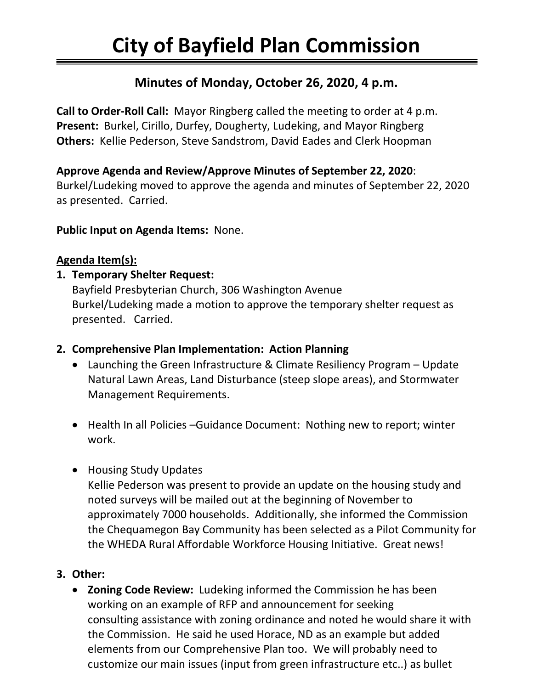# **Minutes of Monday, October 26, 2020, 4 p.m.**

**Call to Order-Roll Call:** Mayor Ringberg called the meeting to order at 4 p.m. **Present:** Burkel, Cirillo, Durfey, Dougherty, Ludeking, and Mayor Ringberg **Others:** Kellie Pederson, Steve Sandstrom, David Eades and Clerk Hoopman

### **Approve Agenda and Review/Approve Minutes of September 22, 2020**:

Burkel/Ludeking moved to approve the agenda and minutes of September 22, 2020 as presented. Carried.

**Public Input on Agenda Items:** None.

#### **Agenda Item(s):**

#### **1. Temporary Shelter Request:**

Bayfield Presbyterian Church, 306 Washington Avenue Burkel/Ludeking made a motion to approve the temporary shelter request as presented. Carried.

### **2. Comprehensive Plan Implementation: Action Planning**

- Launching the Green Infrastructure & Climate Resiliency Program Update Natural Lawn Areas, Land Disturbance (steep slope areas), and Stormwater Management Requirements.
- Health In all Policies –Guidance Document: Nothing new to report; winter work.
- Housing Study Updates

Kellie Pederson was present to provide an update on the housing study and noted surveys will be mailed out at the beginning of November to approximately 7000 households. Additionally, she informed the Commission the Chequamegon Bay Community has been selected as a Pilot Community for the WHEDA Rural Affordable Workforce Housing Initiative. Great news!

## **3. Other:**

• **Zoning Code Review:** Ludeking informed the Commission he has been working on an example of RFP and announcement for seeking consulting assistance with zoning ordinance and noted he would share it with the Commission. He said he used Horace, ND as an example but added elements from our Comprehensive Plan too. We will probably need to customize our main issues (input from green infrastructure etc..) as bullet